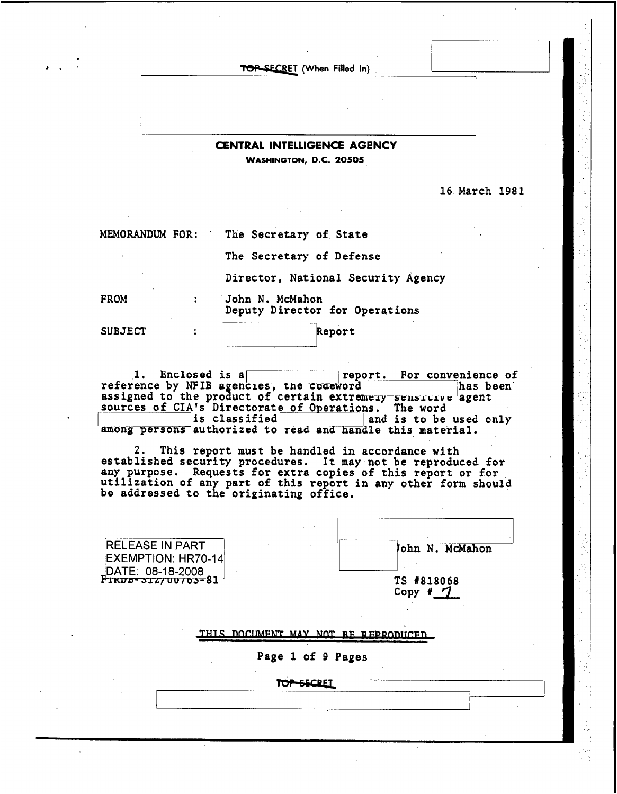**(When Filled** 

## **CENTRAL INTELLIGENCE AGENCY WASHINGTON, D.C.**  *20505*

16. March **1981** 

**MEMORANDUN FOR:** The Secretary of State

**The** Secretary of Defense

Director, National Security Agency

**In)**<br> **GENCY**<br>
5<br> **I6. March 1981**<br> **I6. March 1981**<br> **I6. March 1981**<br> **I6. March 1981**<br> **I6. March 1981**<br> **I6. March 1981 FROM** 'John **N.** McMahon **Deputy** Director for Operations

SUBJECT : | Report

<span id="page-0-0"></span>1. Enclosed is a report. For convenience of **EMORANDUM FOR:** The Secretary of State<br>
The Secretary of Defense<br>
Director, National Security Agency<br>
FROM: John N. McMahon<br>
Deputy Director for Operations<br>
SUBJECT<br>
1. Enclosed is a<br>
reference by NFIB agencies, the conew sources of CIA's Directorate of Operations. The word **is classified** and is to be used only among persons authorized to read and handle this material.

I I

**2.** This report **must** be handled in accordance with ' established security procedures. any purpose. utilization of **an**  be addressed to the originating office. It **may** not be reproduced for Requests for extra copies of this report or for part of this report in any other form **should** 

| <b>RELEASE IN PART</b><br>EXEMPTION: HR70-14 |                   | John N. McMahon                      |
|----------------------------------------------|-------------------|--------------------------------------|
| DATE: 08-18-2008<br>Fikub-312700763-81       |                   | TS #818068<br>Copy # $7$             |
|                                              |                   |                                      |
|                                              |                   | THIS DOCUMENT MAY NOT BE REPRODUCED. |
|                                              | Page 1 of 9 Pages |                                      |

TOP-SECRET

, Ibpediate the set of the set of the set of the set of the set of the set of the set of the set of the set of the set of the set of the set of the set of the set of the set of the set of the set of the set of the set of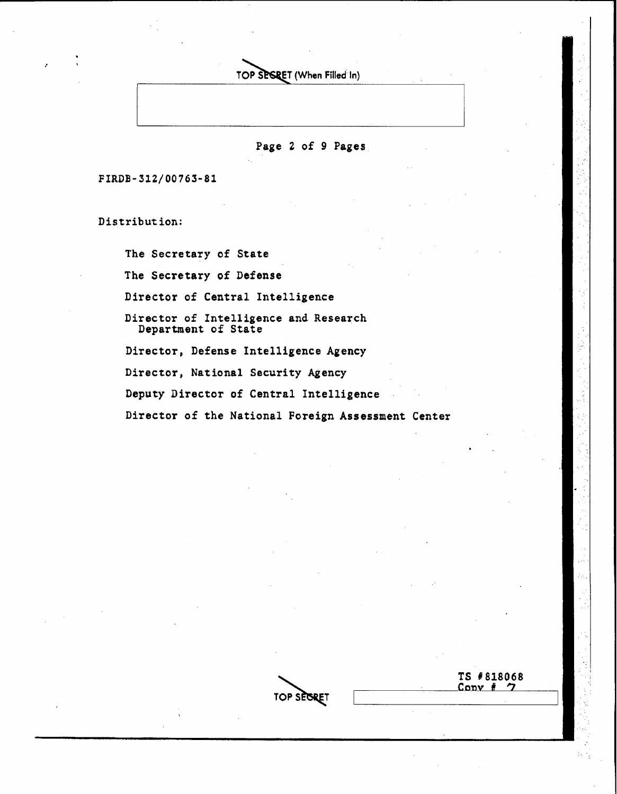TOP SESRET (When Filled In)

**Page 2 of 9 Pages** 

<span id="page-1-0"></span>**FIRDB-312/00763-81** 

**Distribution:** 

**The Secretary of State The Secretary of Defense Director of Central Intelligence Director of Intelligence and Research Director, Defense Intelligence Agency Director, National Security Agency Deputy Director of Central Intelligence Director of the National Foreign Assessment Center Department of State** 

TOP SEGRET

TS #818068 Copy  $\frac{1}{7}$  7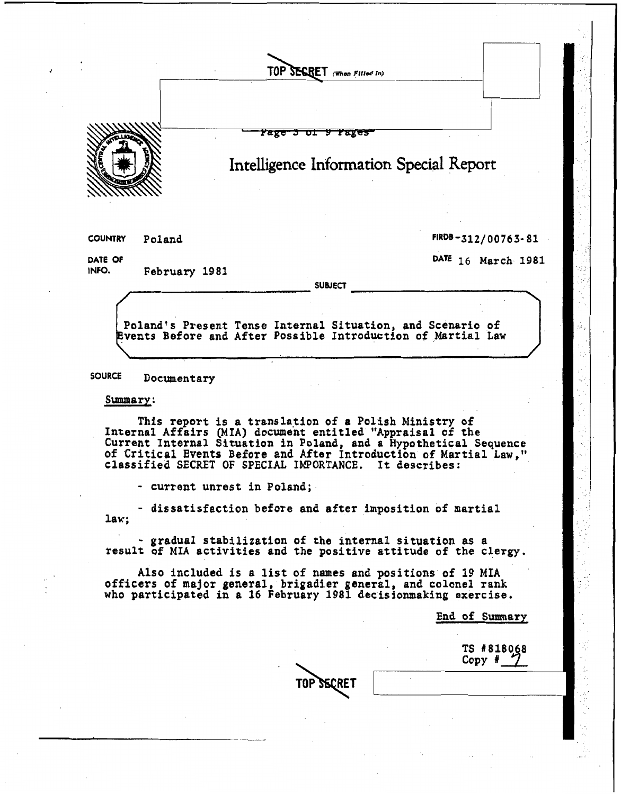<span id="page-2-0"></span>

**COUNTRY** Poland

**FlRoB-3** <sup>12</sup>/ <sup>0</sup>**0 7 6** 3- **8** 1

**DATE OF DATE 16 March 1981 DATE 16 March 1981 INFO.** February 1981

**SUBJECT** 

Poland's Present Tense Internal Situation, and Scenario of Events Before and After Possible Introduction of Martial Law

**SOURCE** Documentary

Summary :

This report is a translation *of* **a** Polish Ministry of Internal Affairs **(MIA)** document entitled "Appraisal of the Current Internal Situation in Poland, and a Hypothetical Sequence of Critical Events Before and After Introduction of Martial Law," classified **SECRET OF** SPECIAL IWORTANCE. It describes:

- current unrest in Poland;

- dissatisfaction before and after imposition of martial law;

- gradual stabilization of the internal situation **as** a result of **MIA** activities and the positive attitude of the clergy.

**Also** included **is <sup>a</sup>**list of **names and** positions of **19** MIA officers of **major** general, brigadier general, and colonel rank **who** participated in a 16 February 1981 decisionmaking exercise.

End of **Summary** 

TS #818068  $Copy$  #

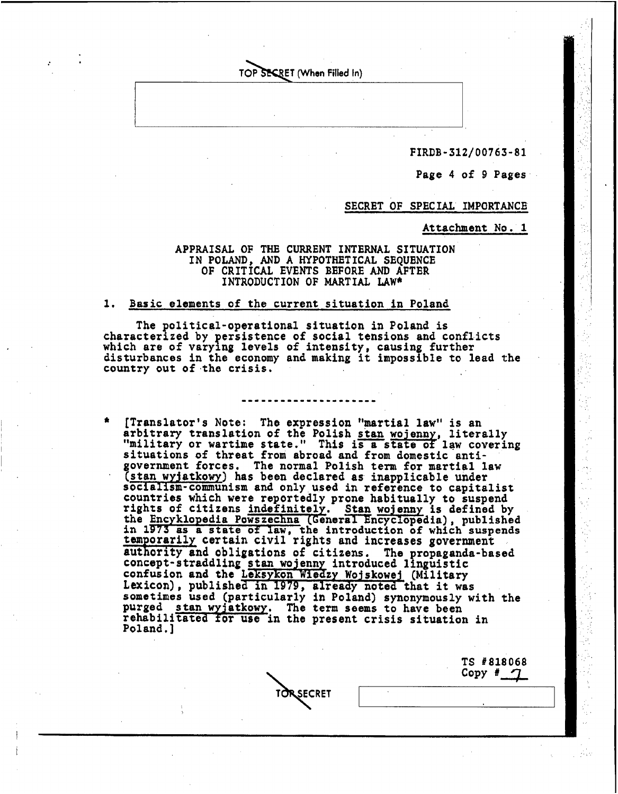#### **FIRDB-312/00763-81**

**Page 4 of 9 Pages** 

## **SECRET OF SPECIAL IMPORTANCE**

**Attachment No. 1** 

**TS lf818068 COPY** # *7* 

#### <span id="page-3-0"></span>**APPRAISAL OF THE CURRENT INTERNAL SITUATION IN POLAND. AND A HYPOTHETICAL** SEQUENCE **OF CRITICAL EVENTS BEFORE AND AFTER** INTRODUCTION **OF MARTIAL LAW\***

#### **1. Basic elements of the current situation in Poland**

**The political-operational situation in Poland is characterized by ersistence of social tensions and conflicts disturbances in the economy and making it impossible to lead rhe**  country out of the crisis. which are of varying levels of intensity, causing further

\* **[Translator's Note:** The **expression "martial law1' is an**  arbitrary translation of the Polish stan wojenny, literally "military or wartime state." This is a state of law covering **situations of threat from abroad and from domestic antigovernment forces, The normal Polish term for martial law (stan wyiatkowy) has been declared as inapplicable under socialism-communism and only used in reference to capitalist countries which were reportedly prone habitually to suspend**  rights of citizens indefinitely. Stan wojenny is defined by the Encyklopedia Powszechna (General Encyclopedia), published **in 1973 as a state of law, the introduction of which suspends**  minitary of watchee state. This is a state of law covering<br>situations of threat from abroad and from domestic anti-<br>government forces. The normal Polish term for martial law<br>(stan wyjatkowy) has been declared as inapplicab **w'd obligations of citizens.** The **propaganda-based**  Lexicon), published in 1979, already noted that it was **sometimes used (particularly in Poland) synonymously with the purged stan wyjatkowy. The term seems to have been rehabilitated ior use in the present crisis situation in**  Poland.] concept-straddling stan wojenny introduced linguistic confusion and the Leksykon Wiedzy Wojskowej (Military

**TOR SECRET**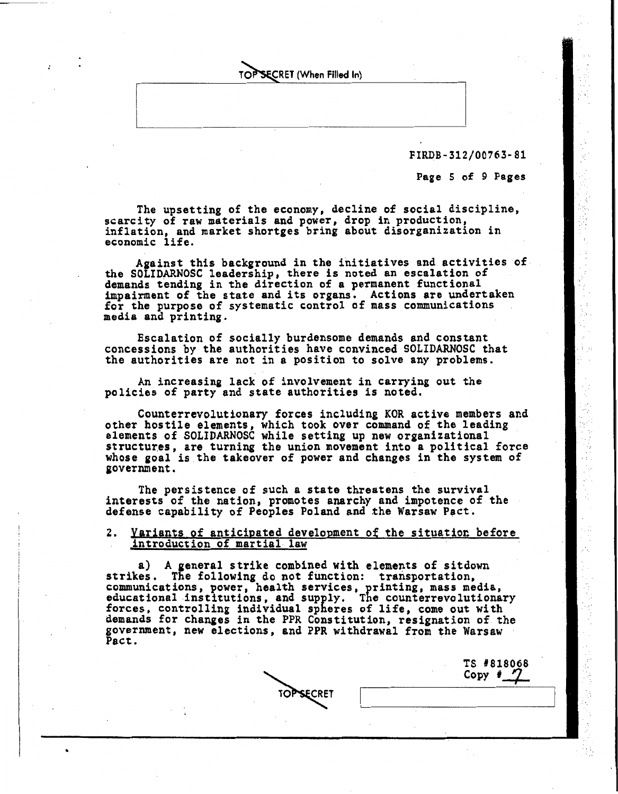FIRDB-312/00763- 81

**Page 5 of 9 Pages** 

<span id="page-4-0"></span>The upsetting of the economy, decline of social discipline, scarcity of raw materials and power, drop in production, inflation, and market shortges bring about disorganization in economic life.

Against this background in the initiatives and activities of *the* **SOLIDARNOSC** leadership, there is noted an escalation of demands tending in the direction of a permanent functional impairment of the state and its organs. for the purpose of systematic control of mass communications Actions are undertaken for the purpose of systematic control of mass communications media and printing.

Escalation of socially burdensome demands and constant concessions **by** the authorities have convinced SOLIDARNOSC that the authorities are not in a position to **solve** any problems.

An increasing lack of involvement in carrying out the policies of party and state authorities is noted.

Counterrevolutionary forces including **KOR** active members and other hostile elements, which took over command of the leading elements of SOLIDARNOSC while setting up new organizational structures, are turning the union movement into a political force whose goal is the takeover of power and changes in the system of government,

interests of the nation, promotes anarchy and impotence of the defense capability of Peoples Poland and the Warsaw Pact. The persistence of such a state threatens the survival

2. Yariants of anticipated development of the situation before introduction of martial law

a) **A** eneral strike combined **with** elements of sitdown strikes. The following do not function: transportation, forces, controlling individual spheres of life, come out with communications, power, health services, demands for changes in the PPR Constitution, resignation of the government, new elections, and **PPR** withdrawal from the Warsaw Pact. Tinting, mass media, educational institutions, and supply. The counterrevolutionary

TOPSECRET

TS #818068 Copy  $#$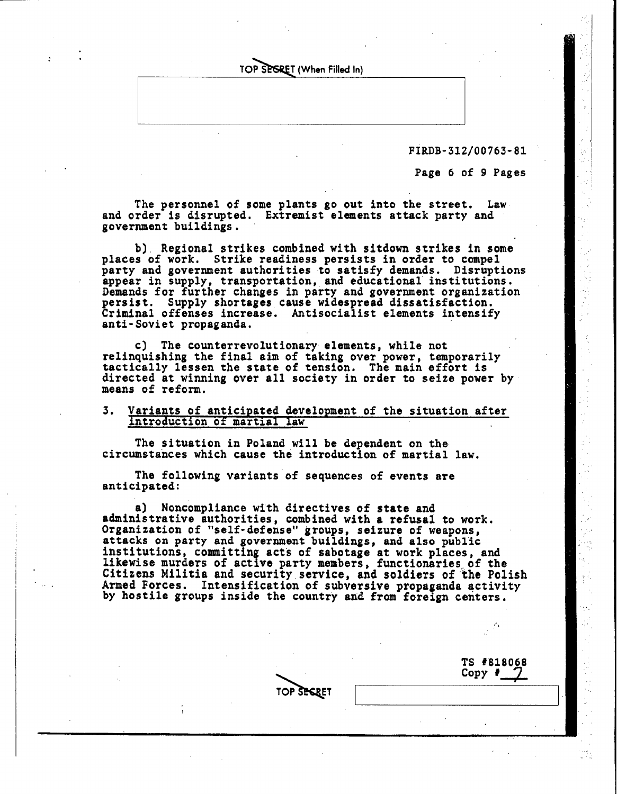**FIRDB-312/00763-81** 

Page **6** of 9 Pages

The personnel of **some** plants **go** out into the street. Law and order is disrupted. Extremist elements attack party and government buildings.

b) Regional strikes combined with sitdown strikes in some places of work. Strike readiness persists in order to compel party and government authorities to satisfy demands. Disruptions appear in supply, transportation, and educational institutions.<br>Demands for further changes in party and government organization persist. Supply shortages cause widespread dissatisfaction. Criminal offenses increase. Antisocialist elements intensify anti- Soviet propaganda.

c) The counterrevolutionary elements, while not relinquishing the final aim of taking **over** power, temporarily tactically lessen the state of tension. The main effort is directed at winning over all society in order to seize power by means **of** reform.

#### **3.** Variants of anticipated development of the situation after introduction **of** martial law

The situation in Poland will be dependent on the circumstances which cause the introduction of martial law.

**The** following variants of sequences **of** events are anticipated:

administrative authorities, combined with a refusal to work. Organization of "self-defense" groups, seizure of weapons, attacks **on** party and government buildings, and **also** public institutions, committing acts of sabotage at work places, and likewise murders of active party members, functionaries of the Citizens Militia and security service, and soldiers **of the** Polish Armed Forces. Intensification of subversive propaganda activity by hostile groups inside the country and from foreign centers. Noncompliance with directives of state and

**TOP SEGRET** 

TS **6818068** Copy #

 $\alpha^+$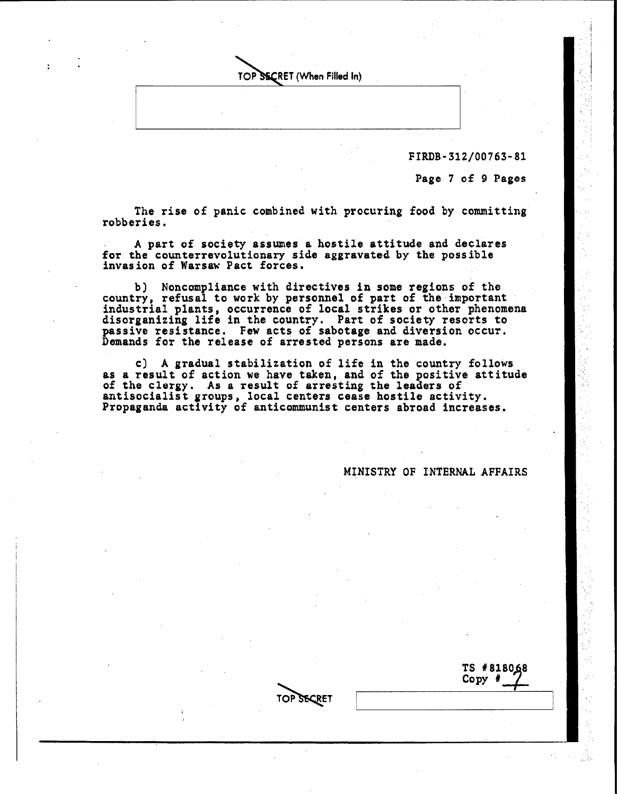**ET (When Filled In)** 

**F IRDB** - **3 12** / **0 0 7** *6* **3- 8 <sup>1</sup>**

**[Page](#page-1-0) 7 of 9 Pages** 

**The** rise **of** panic combined with procuring food by committing robberies.

**A** part of society assumes a hostile attitude and declares for the counterrevolutionary side aggravated **by** the possible invasion of Warsaw Pact forces

**b)** Noncompliance with directives in **some** regions of the country, refusal to work by personnel of part of the important industrial plants, occurrence of local strikes or other phenomena disorganizing life in the country. Part of society resorts to passive resistance. Few acts of sabotage and diversion occur. Demands for the release of arrested persons are **made.** 

as a result of action we have taken, and of the positive attitude antisocialist groups, local centers cease hostile activity.<br>Propaganda activity of anticommunist centers abroad increases. c) **A** gradual stabilization of life in the country follows **As a result of** arresting the leaders of

TOP SECRET

#### **MINISTRY OF INTERNAL AFFAIRS**

TS #818068 Copy (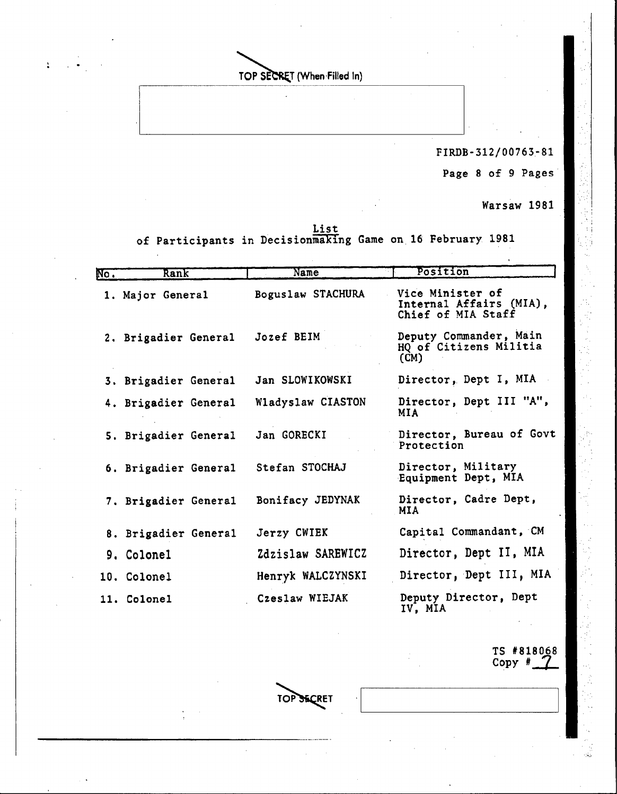In the contract of the contract of the contract of the contract of the contract of the contract of the contract of the contract of the contract of the contract of the contract of the contract of the contract of the contra

 $\mathbf{r} = \frac{1}{2}$ 

**FIRDB-312/00763-81** 

**[Page 8](#page-4-0) [of 9](#page-3-0) Pages** 

**Warsaw 19 [8](#page-4-0) [1](#page-0-0)** 

### **List**

**of Participants in Decisionmng Game on 16 February 1981** 

| No. | Rank                 | Name              | Position                                                          |
|-----|----------------------|-------------------|-------------------------------------------------------------------|
|     | 1. Major General     | Boguslaw STACHURA | Vice Minister of<br>Internal Affairs (MIA),<br>Chief of MIA Staff |
|     | 2. Brigadier General | Jozef BEIM        | Deputy Commander, Main<br>HQ of Citizens Militia<br>(CM)          |
|     | 3. Brigadier General | Jan SLOWIKOWSKI   | Director, Dept I, MIA                                             |
|     | 4. Brigadier General | Wladyslaw CIASTON | Director, Dept III "A",<br><b>MIA</b>                             |
|     | 5. Brigadier General | Jan GORECKI       | Director, Bureau of Govt<br>Protection                            |
|     | 6. Brigadier General | Stefan STOCHAJ    | Director, Military<br>Equipment Dept, MIA                         |
|     | 7. Brigadier General | Bonifacy JEDYNAK  | Director, Cadre Dept,<br><b>MIA</b>                               |
|     | 8. Brigadier General | Jerzy CWIEK       | Capital Commandant, CM                                            |
|     | 9. Colonel           | Zdzislaw SAREWICZ | Director, Dept II, MIA                                            |
|     | 10. Colonel          | Henryk WALCZYNSKI | Director, Dept III, MIA                                           |
|     | 11. Colonel          | Czeslaw WIEJAK    | Deputy Director, Dept<br>IV, MIA                                  |
|     |                      |                   |                                                                   |

**TS 8818068 COPY #318068** 

I I

TOP SECRET